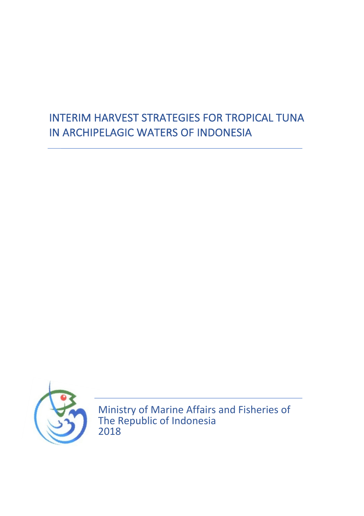# INTERIM HARVEST STRATEGIES FOR TROPICAL TUNA IN ARCHIPELAGIC WATERS OF INDONESIA



Ministry of Marine Affairs and Fisheries of The Republic of Indonesia 2018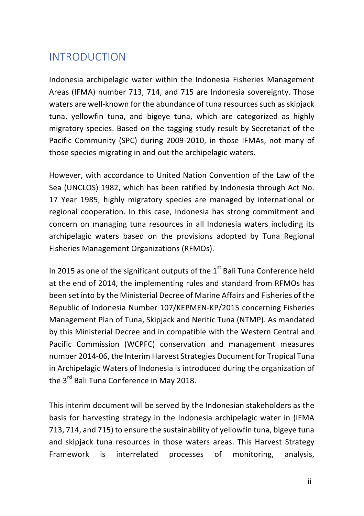## INTRODUCTION

Indonesia archipelagic water within the Indonesia Fisheries Management Areas (IFMA) number 713, 714, and 715 are Indonesia sovereignty. Those waters are well-known for the abundance of tuna resources such as skipjack tuna, yellowfin tuna, and bigeye tuna, which are categorized as highly migratory species. Based on the tagging study result by Secretariat of the Pacific Community (SPC) during 2009-2010, in those IFMAs, not many of those species migrating in and out the archipelagic waters.

However, with accordance to United Nation Convention of the Law of the Sea (UNCLOS) 1982, which has been ratified by Indonesia through Act No. 17 Year 1985, highly migratory species are managed by international or regional cooperation. In this case, Indonesia has strong commitment and concern on managing tuna resources in all Indonesia waters including its archipelagic waters based on the provisions adopted by Tuna Regional Fisheries Management Organizations (RFMOs).

In 2015 as one of the significant outputs of the  $1<sup>st</sup>$  Bali Tuna Conference held at the end of 2014, the implementing rules and standard from RFMOs has been set into by the Ministerial Decree of Marine Affairs and Fisheries of the Republic of Indonesia Number 107/KEPMEN-KP/2015 concerning Fisheries Management Plan of Tuna, Skipjack and Neritic Tuna (NTMP). As mandated by this Ministerial Decree and in compatible with the Western Central and Pacific Commission (WCPFC) conservation and management measures number 2014-06, the Interim Harvest Strategies Document for Tropical Tuna in Archipelagic Waters of Indonesia is introduced during the organization of the 3<sup>rd</sup> Bali Tuna Conference in May 2018.

This interim document will be served by the Indonesian stakeholders as the basis for harvesting strategy in the Indonesia archipelagic water in (IFMA 713, 714, and 715) to ensure the sustainability of yellowfin tuna, bigeye tuna and skipjack tuna resources in those waters areas. This Harvest Strategy Framework is interrelated processes of monitoring, analysis,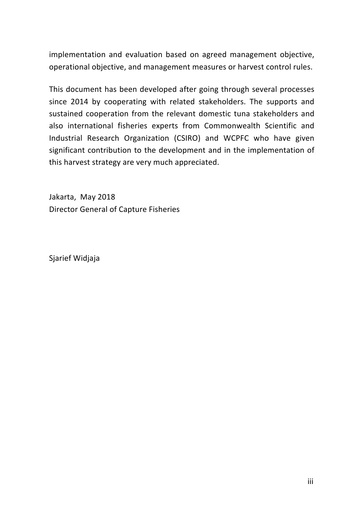implementation and evaluation based on agreed management objective, operational objective, and management measures or harvest control rules.

This document has been developed after going through several processes since 2014 by cooperating with related stakeholders. The supports and sustained cooperation from the relevant domestic tuna stakeholders and also international fisheries experts from Commonwealth Scientific and Industrial Research Organization (CSIRO) and WCPFC who have given significant contribution to the development and in the implementation of this harvest strategy are very much appreciated.

Jakarta, May 2018 Director General of Capture Fisheries

Sjarief Widjaja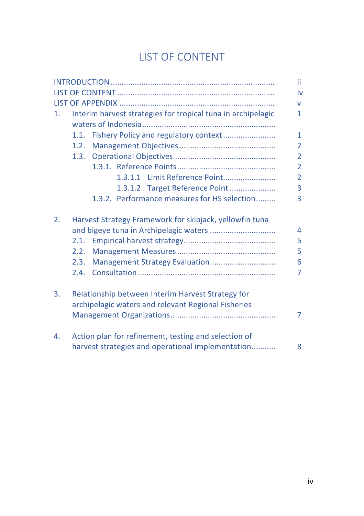# LIST OF CONTENT

|    |                                                              | ii.            |
|----|--------------------------------------------------------------|----------------|
|    |                                                              | iv             |
|    |                                                              | $\mathsf{V}$   |
| 1. | Interim harvest strategies for tropical tuna in archipelagic | $\mathbf{1}$   |
|    |                                                              |                |
|    | Fishery Policy and regulatory context<br>1.1.                | 1              |
|    | 1.2.                                                         | $\overline{2}$ |
|    | 1.3.                                                         | $\overline{2}$ |
|    |                                                              | $\overline{2}$ |
|    | 1.3.1.1 Limit Reference Point                                | $\overline{2}$ |
|    | 1.3.1.2 Target Reference Point                               | 3              |
|    | 1.3.2. Performance measures for HS selection                 | 3              |
| 2. | Harvest Strategy Framework for skipjack, yellowfin tuna      |                |
|    | and bigeye tuna in Archipelagic waters                       | 4              |
|    | 2.1.                                                         | 5              |
|    | 2.2.                                                         | 5              |
|    | Management Strategy Evaluation<br>2.3.                       | 6              |
|    | 2.4.                                                         | 7              |
| 3. | Relationship between Interim Harvest Strategy for            |                |
|    | archipelagic waters and relevant Regional Fisheries          |                |
|    |                                                              | 7              |
|    |                                                              |                |
| 4. | Action plan for refinement, testing and selection of         |                |
|    | harvest strategies and operational implementation            | 8              |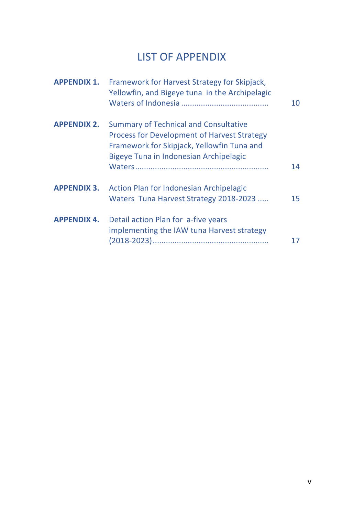## LIST OF APPENDIX

| <b>APPENDIX 1.</b> | Framework for Harvest Strategy for Skipjack,<br>Yellowfin, and Bigeye tuna in the Archipelagic                                                                                             | 10 |
|--------------------|--------------------------------------------------------------------------------------------------------------------------------------------------------------------------------------------|----|
| <b>APPENDIX 2.</b> | <b>Summary of Technical and Consultative</b><br><b>Process for Development of Harvest Strategy</b><br>Framework for Skipjack, Yellowfin Tuna and<br>Bigeye Tuna in Indonesian Archipelagic | 14 |
| <b>APPENDIX 3.</b> | Action Plan for Indonesian Archipelagic<br>Waters Tuna Harvest Strategy 2018-2023                                                                                                          | 15 |
| <b>APPENDIX 4.</b> | Detail action Plan for a-five years<br>implementing the IAW tuna Harvest strategy                                                                                                          | 17 |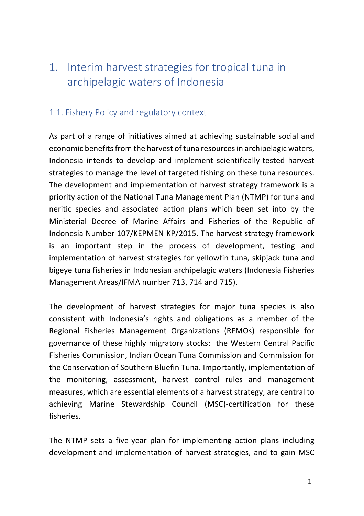# 1. Interim harvest strategies for tropical tuna in archipelagic waters of Indonesia

#### 1.1. Fishery Policy and regulatory context

As part of a range of initiatives aimed at achieving sustainable social and economic benefits from the harvest of tuna resources in archipelagic waters, Indonesia intends to develop and implement scientifically-tested harvest strategies to manage the level of targeted fishing on these tuna resources. The development and implementation of harvest strategy framework is a priority action of the National Tuna Management Plan (NTMP) for tuna and neritic species and associated action plans which been set into by the Ministerial Decree of Marine Affairs and Fisheries of the Republic of Indonesia Number 107/KEPMEN-KP/2015. The harvest strategy framework is an important step in the process of development, testing and implementation of harvest strategies for yellowfin tuna, skipjack tuna and bigeye tuna fisheries in Indonesian archipelagic waters (Indonesia Fisheries Management Areas/IFMA number 713, 714 and 715).

The development of harvest strategies for major tuna species is also consistent with Indonesia's rights and obligations as a member of the Regional Fisheries Management Organizations (RFMOs) responsible for governance of these highly migratory stocks: the Western Central Pacific Fisheries Commission, Indian Ocean Tuna Commission and Commission for the Conservation of Southern Bluefin Tuna. Importantly, implementation of the monitoring, assessment, harvest control rules and management measures, which are essential elements of a harvest strategy, are central to achieving Marine Stewardship Council (MSC)-certification for these fisheries. 

The NTMP sets a five-year plan for implementing action plans including development and implementation of harvest strategies, and to gain MSC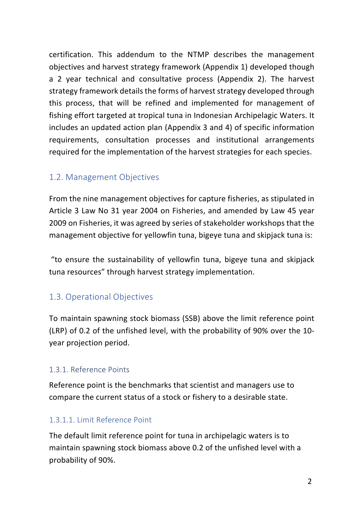certification. This addendum to the NTMP describes the management objectives and harvest strategy framework (Appendix 1) developed though a 2 year technical and consultative process (Appendix 2). The harvest strategy framework details the forms of harvest strategy developed through this process, that will be refined and implemented for management of fishing effort targeted at tropical tuna in Indonesian Archipelagic Waters. It includes an updated action plan (Appendix 3 and 4) of specific information requirements, consultation processes and institutional arrangements required for the implementation of the harvest strategies for each species.

#### 1.2. Management Objectives

From the nine management objectives for capture fisheries, as stipulated in Article 3 Law No 31 year 2004 on Fisheries, and amended by Law 45 year 2009 on Fisheries, it was agreed by series of stakeholder workshops that the management objective for yellowfin tuna, bigeye tuna and skipjack tuna is:

"to ensure the sustainability of yellowfin tuna, bigeye tuna and skipjack tuna resources" through harvest strategy implementation.

#### 1.3. Operational Objectives

To maintain spawning stock biomass (SSB) above the limit reference point (LRP) of 0.2 of the unfished level, with the probability of 90% over the 10year projection period.

#### 1.3.1. Reference Points

Reference point is the benchmarks that scientist and managers use to compare the current status of a stock or fishery to a desirable state.

#### 1.3.1.1. Limit Reference Point

The default limit reference point for tuna in archipelagic waters is to maintain spawning stock biomass above 0.2 of the unfished level with a probability of 90%.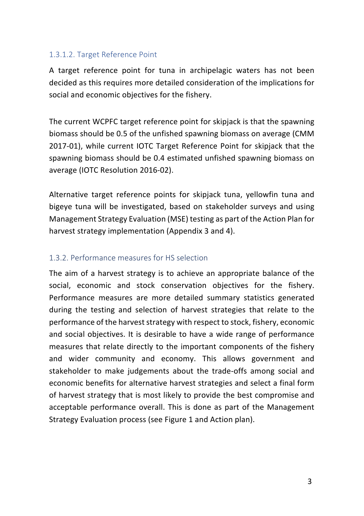#### 1.3.1.2. Target Reference Point

A target reference point for tuna in archipelagic waters has not been decided as this requires more detailed consideration of the implications for social and economic objectives for the fishery.

The current WCPFC target reference point for skipjack is that the spawning biomass should be 0.5 of the unfished spawning biomass on average (CMM 2017-01), while current IOTC Target Reference Point for skipjack that the spawning biomass should be 0.4 estimated unfished spawning biomass on average (IOTC Resolution 2016-02).

Alternative target reference points for skipjack tuna, yellowfin tuna and bigeye tuna will be investigated, based on stakeholder surveys and using Management Strategy Evaluation (MSE) testing as part of the Action Plan for harvest strategy implementation (Appendix 3 and 4).

#### 1.3.2. Performance measures for HS selection

The aim of a harvest strategy is to achieve an appropriate balance of the social, economic and stock conservation objectives for the fishery. Performance measures are more detailed summary statistics generated during the testing and selection of harvest strategies that relate to the performance of the harvest strategy with respect to stock, fishery, economic and social objectives. It is desirable to have a wide range of performance measures that relate directly to the important components of the fishery and wider community and economy. This allows government and stakeholder to make judgements about the trade-offs among social and economic benefits for alternative harvest strategies and select a final form of harvest strategy that is most likely to provide the best compromise and acceptable performance overall. This is done as part of the Management Strategy Evaluation process (see Figure 1 and Action plan).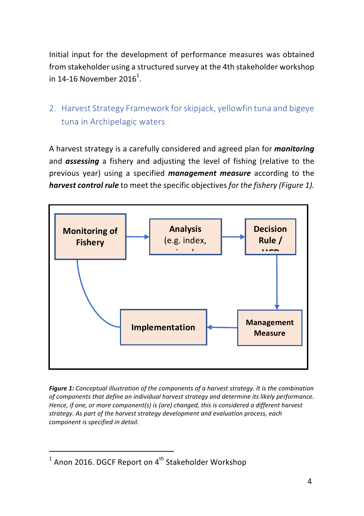Initial input for the development of performance measures was obtained from stakeholder using a structured survey at the 4th stakeholder workshop in 14-16 November 2016 $^{\rm 1}$ .

## 2. Harvest Strategy Framework for skipjack, yellowfin tuna and bigeye tuna in Archipelagic waters

A harvest strategy is a carefully considered and agreed plan for *monitoring* and **assessing** a fishery and adjusting the level of fishing (relative to the previous year) using a specified *management measure* according to the *harvest control rule* to meet the specific objectives for the fishery (Figure 1).



*Figure 1: Conceptual illustration of the components of a harvest strategy. It is the combination* of components that define an individual harvest strategy and determine its likely performance. *Hence, if one, or more component(s) is (are) changed, this is considered a different harvest* strategy. As part of the harvest strategy development and evaluation process, each *component is specified in detail.* 

 $1$  Anon 2016. DGCF Report on  $4^{th}$  Stakeholder Workshop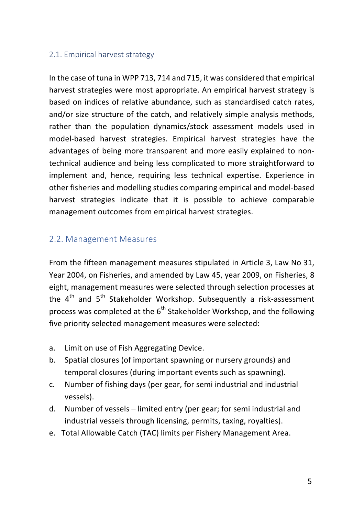#### 2.1. Empirical harvest strategy

In the case of tuna in WPP 713, 714 and 715, it was considered that empirical harvest strategies were most appropriate. An empirical harvest strategy is based on indices of relative abundance, such as standardised catch rates, and/or size structure of the catch, and relatively simple analysis methods, rather than the population dynamics/stock assessment models used in model-based harvest strategies. Empirical harvest strategies have the advantages of being more transparent and more easily explained to nontechnical audience and being less complicated to more straightforward to implement and, hence, requiring less technical expertise. Experience in other fisheries and modelling studies comparing empirical and model-based harvest strategies indicate that it is possible to achieve comparable management outcomes from empirical harvest strategies.

#### 2.2. Management Measures

From the fifteen management measures stipulated in Article 3, Law No 31, Year 2004, on Fisheries, and amended by Law 45, year 2009, on Fisheries, 8 eight, management measures were selected through selection processes at the  $4^{th}$  and  $5^{th}$  Stakeholder Workshop. Subsequently a risk-assessment process was completed at the  $6<sup>th</sup>$  Stakeholder Workshop, and the following five priority selected management measures were selected:

- a. Limit on use of Fish Aggregating Device.
- b. Spatial closures (of important spawning or nursery grounds) and temporal closures (during important events such as spawning).
- c. Number of fishing days (per gear, for semi industrial and industrial vessels).
- d. Number of vessels limited entry (per gear; for semi industrial and industrial vessels through licensing, permits, taxing, royalties).
- e. Total Allowable Catch (TAC) limits per Fishery Management Area.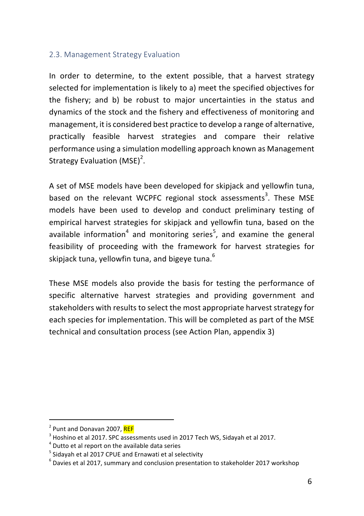#### 2.3. Management Strategy Evaluation

In order to determine, to the extent possible, that a harvest strategy selected for implementation is likely to a) meet the specified objectives for the fishery; and b) be robust to major uncertainties in the status and dynamics of the stock and the fishery and effectiveness of monitoring and management, it is considered best practice to develop a range of alternative, practically feasible harvest strategies and compare their relative performance using a simulation modelling approach known as Management Strategy Evaluation (MSE)<sup>2</sup>.

A set of MSE models have been developed for skipjack and yellowfin tuna, based on the relevant WCPFC regional stock assessments<sup>3</sup>. These MSE models have been used to develop and conduct preliminary testing of empirical harvest strategies for skipjack and yellowfin tuna, based on the available information<sup>4</sup> and monitoring series<sup>5</sup>, and examine the general feasibility of proceeding with the framework for harvest strategies for skipjack tuna, yellowfin tuna, and bigeye tuna. $^6$ 

These MSE models also provide the basis for testing the performance of specific alternative harvest strategies and providing government and stakeholders with results to select the most appropriate harvest strategy for each species for implementation. This will be completed as part of the MSE technical and consultation process (see Action Plan, appendix 3)

 

<sup>&</sup>lt;sup>2</sup> Punt and Donavan 2007, REF

 $3$  Hoshino et al 2017. SPC assessments used in 2017 Tech WS, Sidayah et al 2017.

 $4$  Dutto et al report on the available data series

 $5$  Sidayah et al 2017 CPUE and Ernawati et al selectivity

 $6$  Davies et al 2017, summary and conclusion presentation to stakeholder 2017 workshop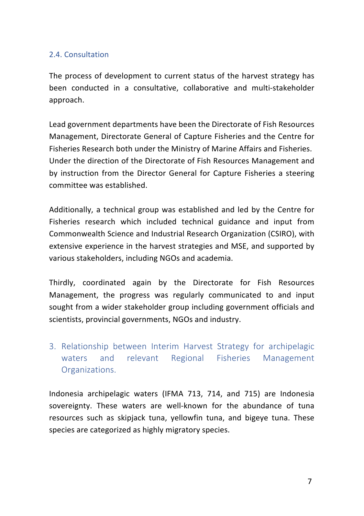#### 2.4. Consultation

The process of development to current status of the harvest strategy has been conducted in a consultative, collaborative and multi-stakeholder approach.

Lead government departments have been the Directorate of Fish Resources Management, Directorate General of Capture Fisheries and the Centre for Fisheries Research both under the Ministry of Marine Affairs and Fisheries. Under the direction of the Directorate of Fish Resources Management and by instruction from the Director General for Capture Fisheries a steering committee was established.

Additionally, a technical group was established and led by the Centre for Fisheries research which included technical guidance and input from Commonwealth Science and Industrial Research Organization (CSIRO), with extensive experience in the harvest strategies and MSE, and supported by various stakeholders, including NGOs and academia.

Thirdly, coordinated again by the Directorate for Fish Resources Management, the progress was regularly communicated to and input sought from a wider stakeholder group including government officials and scientists, provincial governments, NGOs and industry.

3. Relationship between Interim Harvest Strategy for archipelagic waters and relevant Regional Fisheries Management Organizations.

Indonesia archipelagic waters (IFMA 713, 714, and 715) are Indonesia sovereignty. These waters are well-known for the abundance of tuna resources such as skipjack tuna, yellowfin tuna, and bigeye tuna. These species are categorized as highly migratory species.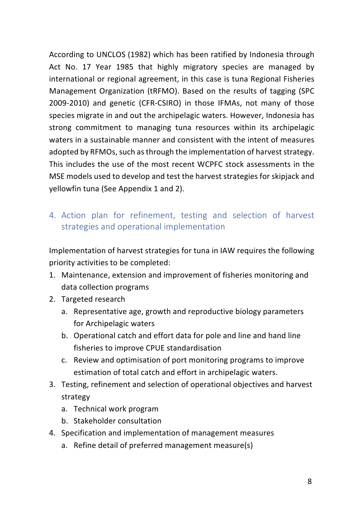According to UNCLOS (1982) which has been ratified by Indonesia through Act No. 17 Year 1985 that highly migratory species are managed by international or regional agreement, in this case is tuna Regional Fisheries Management Organization (tRFMO). Based on the results of tagging (SPC) 2009-2010) and genetic (CFR-CSIRO) in those IFMAs, not many of those species migrate in and out the archipelagic waters. However, Indonesia has strong commitment to managing tuna resources within its archipelagic waters in a sustainable manner and consistent with the intent of measures adopted by RFMOs, such as through the implementation of harvest strategy. This includes the use of the most recent WCPFC stock assessments in the MSE models used to develop and test the harvest strategies for skipjack and yellowfin tuna (See Appendix 1 and 2).

### 4. Action plan for refinement, testing and selection of harvest strategies and operational implementation

Implementation of harvest strategies for tuna in IAW requires the following priority activities to be completed:

- 1. Maintenance, extension and improvement of fisheries monitoring and data collection programs
- 2. Targeted research
	- a. Representative age, growth and reproductive biology parameters for Archipelagic waters
	- b. Operational catch and effort data for pole and line and hand line fisheries to improve CPUE standardisation
	- c. Review and optimisation of port monitoring programs to improve estimation of total catch and effort in archipelagic waters.
- 3. Testing, refinement and selection of operational objectives and harvest strategy
	- a. Technical work program
	- b. Stakeholder consultation
- 4. Specification and implementation of management measures
	- a. Refine detail of preferred management measure(s)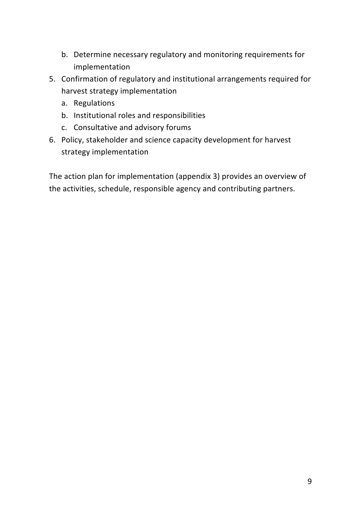- b. Determine necessary regulatory and monitoring requirements for implementation
- 5. Confirmation of regulatory and institutional arrangements required for harvest strategy implementation
	- a. Regulations
	- b. Institutional roles and responsibilities
	- c. Consultative and advisory forums
- 6. Policy, stakeholder and science capacity development for harvest strategy implementation

The action plan for implementation (appendix 3) provides an overview of the activities, schedule, responsible agency and contributing partners.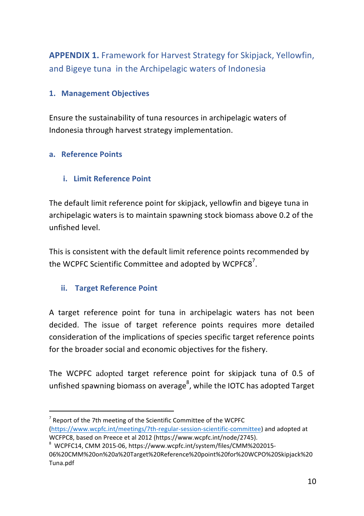**APPENDIX 1.** Framework for Harvest Strategy for Skipjack, Yellowfin, and Bigeye tuna in the Archipelagic waters of Indonesia

#### **1. Management Objectives**

Ensure the sustainability of tuna resources in archipelagic waters of Indonesia through harvest strategy implementation.

#### **a. Reference Points**

#### **i. Limit Reference Point**

The default limit reference point for skipjack, yellowfin and bigeye tuna in archipelagic waters is to maintain spawning stock biomass above 0.2 of the unfished level.

This is consistent with the default limit reference points recommended by the WCPFC Scientific Committee and adopted by WCPFC8<sup>7</sup>.

#### **ii.** Target Reference Point

 

A target reference point for tuna in archipelagic waters has not been decided. The issue of target reference points requires more detailed consideration of the implications of species specific target reference points for the broader social and economic objectives for the fishery.

The WCPFC adopted target reference point for skipjack tuna of 0.5 of unfished spawning biomass on average $^8$ , while the IOTC has adopted Target

<sup>8</sup> WCPFC14, CMM 2015-06, https://www.wcpfc.int/system/files/CMM%202015-

 $<sup>7</sup>$  Report of the 7th meeting of the Scientific Committee of the WCPFC</sup> (https://www.wcpfc.int/meetings/7th-regular-session-scientific-committee) and adopted at WCFPC8, based on Preece et al 2012 (https://www.wcpfc.int/node/2745).

<sup>06%20</sup>CMM%20on%20a%20Target%20Reference%20point%20for%20WCPO%20Skipjack%20 Tuna.pdf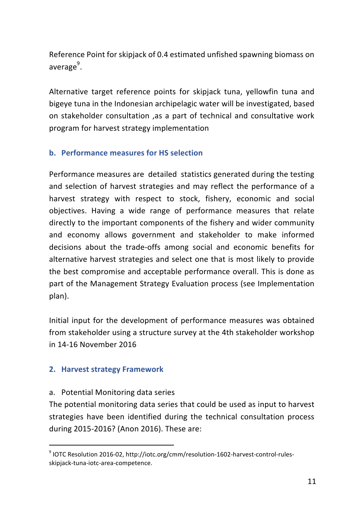Reference Point for skipjack of 0.4 estimated unfished spawning biomass on average<sup>9</sup>.

Alternative target reference points for skipjack tuna, yellowfin tuna and bigeye tuna in the Indonesian archipelagic water will be investigated, based on stakeholder consultation as a part of technical and consultative work program for harvest strategy implementation

#### **b.** Performance measures for HS selection

Performance measures are detailed statistics generated during the testing and selection of harvest strategies and may reflect the performance of a harvest strategy with respect to stock, fishery, economic and social objectives. Having a wide range of performance measures that relate directly to the important components of the fishery and wider community and economy allows government and stakeholder to make informed decisions about the trade-offs among social and economic benefits for alternative harvest strategies and select one that is most likely to provide the best compromise and acceptable performance overall. This is done as part of the Management Strategy Evaluation process (see Implementation plan).

Initial input for the development of performance measures was obtained from stakeholder using a structure survey at the 4th stakeholder workshop in 14-16 November 2016

#### **2. Harvest strategy Framework**

#### a. Potential Monitoring data series

 

The potential monitoring data series that could be used as input to harvest strategies have been identified during the technical consultation process during 2015-2016? (Anon 2016). These are:

<sup>&</sup>lt;sup>9</sup> IOTC Resolution 2016-02, http://iotc.org/cmm/resolution-1602-harvest-control-rulesskipjack-tuna-iotc-area-competence.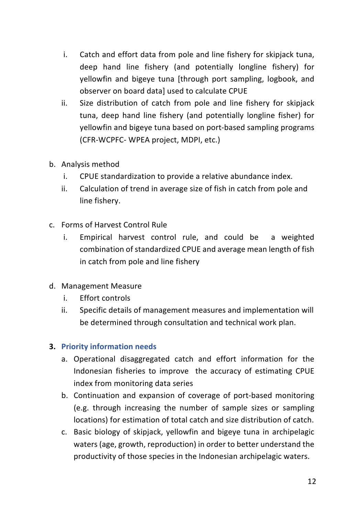- i. Catch and effort data from pole and line fishery for skipjack tuna, deep hand line fishery (and potentially longline fishery) for yellowfin and bigeye tuna [through port sampling, logbook, and observer on board datal used to calculate CPUF
- ii. Size distribution of catch from pole and line fishery for skipjack tuna, deep hand line fishery (and potentially longline fisher) for vellowfin and bigeve tuna based on port-based sampling programs (CFR-WCPFC- WPEA project, MDPI, etc.)
- b. Analysis method
	- i. CPUE standardization to provide a relative abundance index.
	- ii. Calculation of trend in average size of fish in catch from pole and line fishery.
- c. Forms of Harvest Control Rule
	- i. Empirical harvest control rule, and could be a weighted combination of standardized CPUE and average mean length of fish in catch from pole and line fishery
- d. Management Measure
	- i. Fffort controls
	- ii. Specific details of management measures and implementation will be determined through consultation and technical work plan.

#### **3. Priority information needs**

- a. Operational disaggregated catch and effort information for the Indonesian fisheries to improve the accuracy of estimating CPUE index from monitoring data series
- b. Continuation and expansion of coverage of port-based monitoring (e.g. through increasing the number of sample sizes or sampling locations) for estimation of total catch and size distribution of catch.
- c. Basic biology of skipjack, yellowfin and bigeye tuna in archipelagic waters (age, growth, reproduction) in order to better understand the productivity of those species in the Indonesian archipelagic waters.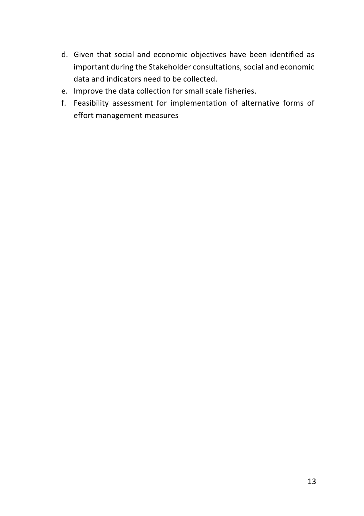- d. Given that social and economic objectives have been identified as important during the Stakeholder consultations, social and economic data and indicators need to be collected.
- e. Improve the data collection for small scale fisheries.
- f. Feasibility assessment for implementation of alternative forms of effort management measures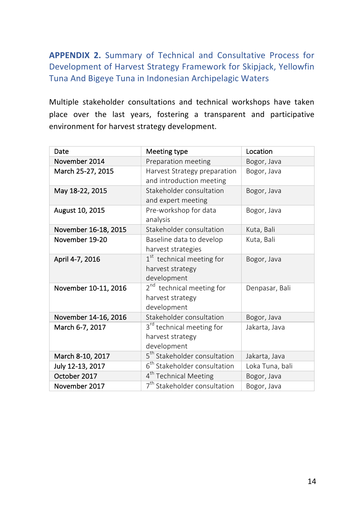**APPENDIX 2.** Summary of Technical and Consultative Process for Development of Harvest Strategy Framework for Skipjack, Yellowfin Tuna And Bigeye Tuna in Indonesian Archipelagic Waters

Multiple stakeholder consultations and technical workshops have taken place over the last years, fostering a transparent and participative environment for harvest strategy development.

| Date                 | Meeting type                                                             | Location        |
|----------------------|--------------------------------------------------------------------------|-----------------|
| November 2014        | Preparation meeting                                                      | Bogor, Java     |
| March 25-27, 2015    | Harvest Strategy preparation<br>and introduction meeting                 | Bogor, Java     |
| May 18-22, 2015      | Stakeholder consultation<br>and expert meeting                           | Bogor, Java     |
| August 10, 2015      | Pre-workshop for data<br>analysis                                        | Bogor, Java     |
| November 16-18, 2015 | Stakeholder consultation                                                 | Kuta, Bali      |
| November 19-20       | Baseline data to develop<br>harvest strategies                           | Kuta, Bali      |
| April 4-7, 2016      | 1 <sup>st</sup> technical meeting for<br>harvest strategy<br>development | Bogor, Java     |
| November 10-11, 2016 | 2 <sup>nd</sup> technical meeting for<br>harvest strategy<br>development | Denpasar, Bali  |
| November 14-16, 2016 | Stakeholder consultation                                                 | Bogor, Java     |
| March 6-7, 2017      | 3 <sup>rd</sup> technical meeting for<br>harvest strategy<br>development | Jakarta, Java   |
| March 8-10, 2017     | 5 <sup>th</sup> Stakeholder consultation                                 | Jakarta, Java   |
| July 12-13, 2017     | 6 <sup>th</sup> Stakeholder consultation                                 | Loka Tuna, bali |
| October 2017         | 4 <sup>th</sup> Technical Meeting                                        | Bogor, Java     |
| November 2017        | 7 <sup>th</sup> Stakeholder consultation                                 | Bogor, Java     |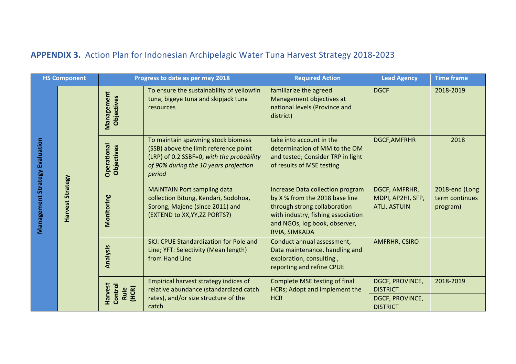### APPENDIX 3. Action Plan for Indonesian Archipelagic Water Tuna Harvest Strategy 2018-2023

|                                       | <b>HS Component</b> |                                         | Progress to date as per may 2018                                                                                                                                            | <b>Required Action</b>                                                                                                                                                                     | <b>Lead Agency</b>                                                       | <b>Time frame</b>                            |
|---------------------------------------|---------------------|-----------------------------------------|-----------------------------------------------------------------------------------------------------------------------------------------------------------------------------|--------------------------------------------------------------------------------------------------------------------------------------------------------------------------------------------|--------------------------------------------------------------------------|----------------------------------------------|
|                                       |                     | Management<br><b>Objectives</b>         | To ensure the sustainability of yellowfin<br>tuna, bigeye tuna and skipjack tuna<br>resources                                                                               | familiarize the agreed<br>Management objectives at<br>national levels (Province and<br>district)                                                                                           | <b>DGCF</b>                                                              | 2018-2019                                    |
| <b>Management Strategy Evaluation</b> | Harvest Strategy    | <b>Operational</b><br><b>Objectives</b> | To maintain spawning stock biomass<br>(SSB) above the limit reference point<br>(LRP) of 0.2 SSBF=0, with the probability<br>of 90% during the 10 years projection<br>period | take into account in the<br>determination of MM to the OM<br>and tested; Consider TRP in light<br>of results of MSE testing                                                                | <b>DGCF, AMFRHR</b>                                                      | 2018                                         |
|                                       |                     | Monitoring                              | <b>MAINTAIN Port sampling data</b><br>collection Bitung, Kendari, Sodohoa,<br>Sorong, Majene (since 2011) and<br>(EXTEND to XX, YY, ZZ PORTS?)                              | Increase Data collection program<br>by X % from the 2018 base line<br>through strong collaboration<br>with industry, fishing association<br>and NGOs, log book, observer,<br>RVIA, SIMKADA | DGCF, AMFRHR,<br>MDPI, AP2HI, SFP,<br><b>ATLI, ASTUIN</b>                | 2018-end (Long<br>term continues<br>program) |
|                                       |                     | Analysis                                | SKJ: CPUE Standardization for Pole and<br>Line; YFT: Selectivity (Mean length)<br>from Hand Line.                                                                           | Conduct annual assessment,<br>Data maintenance, handling and<br>exploration, consulting,<br>reporting and refine CPUE                                                                      | <b>AMFRHR, CSIRO</b>                                                     |                                              |
|                                       |                     | Harvest<br>Control<br>Rule<br>(HCR)     | Empirical harvest strategy indices of<br>relative abundance (standardized catch<br>rates), and/or size structure of the<br>catch                                            | Complete MSE testing of final<br>HCRs; Adopt and implement the<br><b>HCR</b>                                                                                                               | DGCF, PROVINCE,<br><b>DISTRICT</b><br>DGCF, PROVINCE,<br><b>DISTRICT</b> | 2018-2019                                    |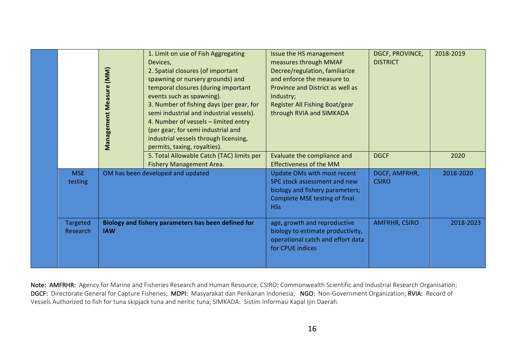|                       | <b>Management Measure (MM)</b>    | 1. Limit on use of Fish Aggregating<br>Devices.<br>2. Spatial closures (of important<br>spawning or nursery grounds) and<br>temporal closures (during important<br>events such as spawning).<br>3. Number of fishing days (per gear, for<br>semi industrial and industrial vessels).<br>4. Number of vessels - limited entry<br>(per gear; for semi industrial and<br>industrial vessels through licensing,<br>permits, taxing, royalties). | Issue the HS management<br>measures through MMAF<br>Decree/regulation, familiarize<br>and enforce the measure to<br>Province and District as well as<br>Industry;<br>Register All Fishing Boat/gear<br>through RVIA and SIMKADA | DGCF, PROVINCE,<br><b>DISTRICT</b> | 2018-2019 |
|-----------------------|-----------------------------------|---------------------------------------------------------------------------------------------------------------------------------------------------------------------------------------------------------------------------------------------------------------------------------------------------------------------------------------------------------------------------------------------------------------------------------------------|---------------------------------------------------------------------------------------------------------------------------------------------------------------------------------------------------------------------------------|------------------------------------|-----------|
|                       |                                   | 5. Total Allowable Catch (TAC) limits per<br>Fishery Management Area.                                                                                                                                                                                                                                                                                                                                                                       | Evaluate the compliance and<br><b>Effectiveness of the MM</b>                                                                                                                                                                   | <b>DGCF</b>                        | 2020      |
| <b>MSE</b><br>testing | OM has been developed and updated |                                                                                                                                                                                                                                                                                                                                                                                                                                             | Update OMs with most recent<br>SPC stock assessment and new<br>biology and fishery parameters;<br>Complete MSE testing of final<br>HSs                                                                                          | DGCF, AMFRHR,<br><b>CSIRO</b>      | 2018-2020 |
| Targeted<br>Research  | <b>IAW</b>                        | Biology and fishery parameters has been defined for                                                                                                                                                                                                                                                                                                                                                                                         | age, growth and reproductive<br>biology to estimate productivity,<br>operational catch and effort data<br>for CPUE indices                                                                                                      | <b>AMFRHR, CSIRO</b>               | 2018-2023 |

Note: AMFRHR: Agency for Marine and Fisheries Research and Human Resource; CSIRO: Commonwealth Scientific and Industrial Research Organisation; DGCF: Directorate General for Capture Fisheries; MDPI: Masyarakat dan Perikanan Indonesia; NGO: Non-Government Organization; RVIA: Record of Vessels Authorized to fish for tuna skipjack tuna and neritic tuna; SIMKADA: Sistim Informasi Kapal Ijin Daerah.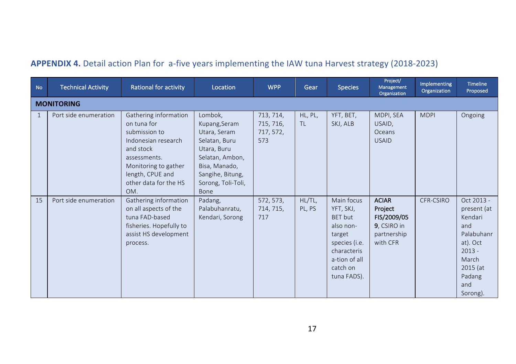## APPENDIX 4. Detail action Plan for a-five years implementing the IAW tuna Harvest strategy (2018-2023)

| <b>No</b> | <b>Technical Activity</b> | <b>Rational for activity</b>                                                                                                                                                          | Location                                                                                                                                                       | <b>WPP</b>                                 | Gear             | <b>Species</b>                                                                                                                        | Project/<br>Management<br>Organization                                           | Implementing<br>Organization | <b>Timeline</b><br>Proposed                                                                                                         |
|-----------|---------------------------|---------------------------------------------------------------------------------------------------------------------------------------------------------------------------------------|----------------------------------------------------------------------------------------------------------------------------------------------------------------|--------------------------------------------|------------------|---------------------------------------------------------------------------------------------------------------------------------------|----------------------------------------------------------------------------------|------------------------------|-------------------------------------------------------------------------------------------------------------------------------------|
|           | <b>MONITORING</b>         |                                                                                                                                                                                       |                                                                                                                                                                |                                            |                  |                                                                                                                                       |                                                                                  |                              |                                                                                                                                     |
| 1         | Port side enumeration     | Gathering information<br>on tuna for<br>submission to<br>Indonesian research<br>and stock<br>assessments.<br>Monitoring to gather<br>length, CPUE and<br>other data for the HS<br>OM. | Lombok,<br>Kupang, Seram<br>Utara, Seram<br>Selatan, Buru<br>Utara, Buru<br>Selatan, Ambon,<br>Bisa, Manado,<br>Sangihe, Bitung,<br>Sorong, Toli-Toli,<br>Bone | 713, 714,<br>715, 716,<br>717, 572,<br>573 | HL, PL,<br>TL.   | YFT, BET,<br>SKJ, ALB                                                                                                                 | MDPI, SEA<br>USAID,<br>Oceans<br><b>USAID</b>                                    | <b>MDPI</b>                  | Ongoing                                                                                                                             |
| 15        | Port side enumeration     | Gathering information<br>on all aspects of the<br>tuna FAD-based<br>fisheries. Hopefully to<br>assist HS development<br>process.                                                      | Padang,<br>Palabuhanratu,<br>Kendari, Sorong                                                                                                                   | 572, 573,<br>714, 715,<br>717              | HL/TL,<br>PL, PS | Main focus<br>YFT, SKJ,<br>BET but<br>also non-<br>target<br>species (i.e.<br>characteris<br>a-tion of all<br>catch on<br>tuna FADS). | <b>ACIAR</b><br>Project<br>FIS/2009/05<br>9, CSIRO in<br>partnership<br>with CFR | CFR-CSIRO                    | Oct 2013 -<br>present (at<br>Kendari<br>and<br>Palabuhanr<br>at). Oct<br>$2013 -$<br>March<br>2015 (at<br>Padang<br>and<br>Sorong). |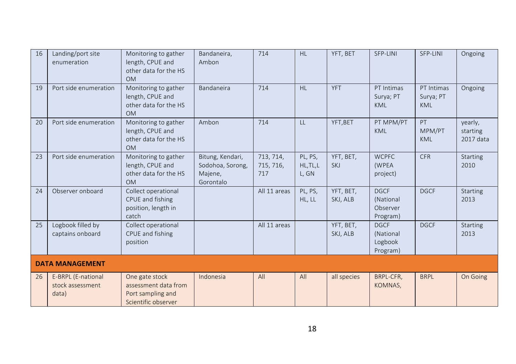| 16 | Landing/port site<br>enumeration                | Monitoring to gather<br>length, CPUE and<br>other data for the HS<br><b>OM</b>     | Bandaneira,<br>Ambon                                         | 714                           | HL.                           | YFT, BET              | SFP-LINI                                         | SFP-LINI                       | Ongoing                          |
|----|-------------------------------------------------|------------------------------------------------------------------------------------|--------------------------------------------------------------|-------------------------------|-------------------------------|-----------------------|--------------------------------------------------|--------------------------------|----------------------------------|
| 19 | Port side enumeration                           | Monitoring to gather<br>length, CPUE and<br>other data for the HS<br><b>OM</b>     | Bandaneira                                                   | 714                           | HL.                           | YFT                   | PT Intimas<br>Surva; PT<br>KML                   | PT Intimas<br>Surya; PT<br>KML | Ongoing                          |
| 20 | Port side enumeration                           | Monitoring to gather<br>length, CPUE and<br>other data for the HS<br><b>OM</b>     | Ambon                                                        | 714                           | LL                            | YFT.BET               | PT MPM/PT<br><b>KML</b>                          | PT<br>MPM/PT<br>KML            | yearly,<br>starting<br>2017 data |
| 23 | Port side enumeration                           | Monitoring to gather<br>length, CPUE and<br>other data for the HS<br><b>OM</b>     | Bitung, Kendari,<br>Sodohoa, Sorong,<br>Majene,<br>Gorontalo | 713, 714,<br>715, 716,<br>717 | PL, PS,<br>HL, TL, L<br>L, GN | YFT, BET,<br>SKJ      | <b>WCPFC</b><br>(WPEA<br>project)                | CFR                            | Starting<br>2010                 |
| 24 | Observer onboard                                | Collect operational<br>CPUE and fishing<br>position, length in<br>catch            |                                                              | All 11 areas                  | PL, PS,<br>HL, LL             | YFT, BET,<br>SKJ, ALB | <b>DGCF</b><br>(National<br>Observer<br>Program) | <b>DGCF</b>                    | Starting<br>2013                 |
| 25 | Logbook filled by<br>captains onboard           | Collect operational<br>CPUE and fishing<br>position                                |                                                              | All 11 areas                  |                               | YFT, BET,<br>SKJ, ALB | <b>DGCF</b><br>(National<br>Logbook<br>Program)  | <b>DGCF</b>                    | Starting<br>2013                 |
|    | <b>DATA MANAGEMENT</b>                          |                                                                                    |                                                              |                               |                               |                       |                                                  |                                |                                  |
| 26 | E-BRPL (E-national<br>stock assessment<br>data) | One gate stock<br>assessment data from<br>Port sampling and<br>Scientific observer | Indonesia                                                    | All                           | All                           | all species           | BRPL-CFR,<br>KOMNAS,                             | <b>BRPL</b>                    | On Going                         |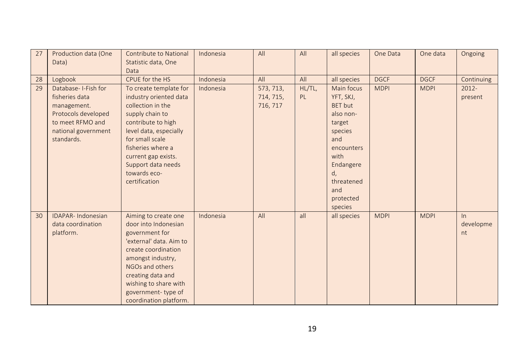| 27 | Production data (One<br>Data)                                                                                                        | Contribute to National<br>Statistic data, One<br>Data                                                                                                                                                                                                          | Indonesia | All                                | All          | all species                                                                                                                                                       | One Data    | One data    | Ongoing               |
|----|--------------------------------------------------------------------------------------------------------------------------------------|----------------------------------------------------------------------------------------------------------------------------------------------------------------------------------------------------------------------------------------------------------------|-----------|------------------------------------|--------------|-------------------------------------------------------------------------------------------------------------------------------------------------------------------|-------------|-------------|-----------------------|
| 28 | Logbook                                                                                                                              | CPUE for the HS                                                                                                                                                                                                                                                | Indonesia | All                                | All          | all species                                                                                                                                                       | <b>DGCF</b> | <b>DGCF</b> | Continuing            |
| 29 | Database-I-Fish for<br>fisheries data<br>management.<br>Protocols developed<br>to meet RFMO and<br>national government<br>standards. | To create template for<br>industry oriented data<br>collection in the<br>supply chain to<br>contribute to high<br>level data, especially<br>for small scale<br>fisheries where a<br>current gap exists.<br>Support data needs<br>towards eco-<br>certification | Indonesia | 573, 713,<br>714, 715,<br>716, 717 | HL/TL,<br>PL | Main focus<br>YFT, SKJ,<br>BET but<br>also non-<br>target<br>species<br>and<br>encounters<br>with<br>Endangere<br>d,<br>threatened<br>and<br>protected<br>species | <b>MDPI</b> | <b>MDPI</b> | $2012 -$<br>present   |
| 30 | <b>IDAPAR-Indonesian</b><br>data coordination<br>platform.                                                                           | Aiming to create one<br>door into Indonesian<br>government for<br>'external' data. Aim to<br>create coordination<br>amongst industry,<br>NGOs and others<br>creating data and<br>wishing to share with<br>government-type of<br>coordination platform.         | Indonesia | All                                | all          | all species                                                                                                                                                       | <b>MDPI</b> | <b>MDPI</b> | ln<br>developme<br>nt |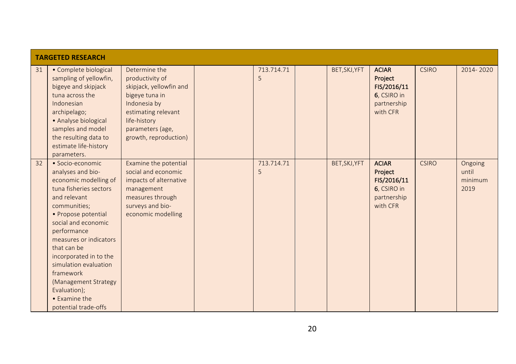|    | <b>TARGETED RESEARCH</b>                                                                                                                                                                                                                                                                                                                                                         |                                                                                                                                                                                   |  |                 |  |               |                                                                                  |              |                                     |  |  |
|----|----------------------------------------------------------------------------------------------------------------------------------------------------------------------------------------------------------------------------------------------------------------------------------------------------------------------------------------------------------------------------------|-----------------------------------------------------------------------------------------------------------------------------------------------------------------------------------|--|-----------------|--|---------------|----------------------------------------------------------------------------------|--------------|-------------------------------------|--|--|
| 31 | • Complete biological<br>sampling of yellowfin,<br>bigeye and skipjack<br>tuna across the<br>Indonesian<br>archipelago;<br>• Analyse biological<br>samples and model<br>the resulting data to<br>estimate life-history<br>parameters.                                                                                                                                            | Determine the<br>productivity of<br>skipjack, yellowfin and<br>bigeye tuna in<br>Indonesia by<br>estimating relevant<br>life-history<br>parameters (age,<br>growth, reproduction) |  | 713.714.71<br>5 |  | BET, SKJ, YFT | <b>ACIAR</b><br>Project<br>FIS/2016/11<br>6, CSIRO in<br>partnership<br>with CFR | <b>CSIRO</b> | 2014-2020                           |  |  |
| 32 | • Socio-economic<br>analyses and bio-<br>economic modelling of<br>tuna fisheries sectors<br>and relevant<br>communities;<br>• Propose potential<br>social and economic<br>performance<br>measures or indicators<br>that can be<br>incorporated in to the<br>simulation evaluation<br>framework<br>(Management Strategy)<br>Evaluation);<br>• Examine the<br>potential trade-offs | Examine the potential<br>social and economic.<br>impacts of alternative<br>management<br>measures through<br>surveys and bio-<br>economic modelling                               |  | 713.714.71<br>5 |  | BET, SKJ, YFT | <b>ACIAR</b><br>Project<br>FIS/2016/11<br>6, CSIRO in<br>partnership<br>with CFR | <b>CSIRO</b> | Ongoing<br>until<br>minimum<br>2019 |  |  |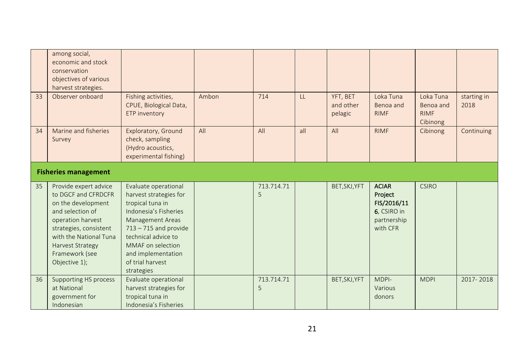|    | among social,<br>economic and stock<br>conservation<br>objectives of various<br>harvest strategies.                                                                                                                           |                                                                                                                                                                                                                                                       |       |                 |     |                                  |                                                                                  |                                                   |                     |
|----|-------------------------------------------------------------------------------------------------------------------------------------------------------------------------------------------------------------------------------|-------------------------------------------------------------------------------------------------------------------------------------------------------------------------------------------------------------------------------------------------------|-------|-----------------|-----|----------------------------------|----------------------------------------------------------------------------------|---------------------------------------------------|---------------------|
| 33 | Observer onboard                                                                                                                                                                                                              | Fishing activities,<br>CPUE, Biological Data,<br>ETP inventory                                                                                                                                                                                        | Ambon | 714             | LL  | YFT, BET<br>and other<br>pelagic | Loka Tuna<br>Benoa and<br><b>RIMF</b>                                            | Loka Tuna<br>Benoa and<br><b>RIMF</b><br>Cibinong | starting in<br>2018 |
| 34 | Marine and fisheries<br>Survey                                                                                                                                                                                                | <b>Exploratory, Ground</b><br>check, sampling<br>(Hydro acoustics,<br>experimental fishing)                                                                                                                                                           | All   | All             | all | All                              | <b>RIMF</b>                                                                      | Cibinong                                          | Continuing          |
|    | <b>Fisheries management</b>                                                                                                                                                                                                   |                                                                                                                                                                                                                                                       |       |                 |     |                                  |                                                                                  |                                                   |                     |
| 35 | Provide expert advice<br>to DGCF and CFRDCFR<br>on the development<br>and selection of<br>operation harvest<br>strategies, consistent<br>with the National Tuna<br><b>Harvest Strategy</b><br>Framework (see<br>Objective 1); | Evaluate operational<br>harvest strategies for<br>tropical tuna in<br>Indonesia's Fisheries<br><b>Management Areas</b><br>$713 - 715$ and provide<br>technical advice to<br>MMAF on selection<br>and implementation<br>of trial harvest<br>strategies |       | 713.714.71<br>5 |     | BET, SKJ, YFT                    | <b>ACIAR</b><br>Project<br>FIS/2016/11<br>6, CSIRO in<br>partnership<br>with CFR | <b>CSIRO</b>                                      |                     |
| 36 | Supporting HS process<br>at National<br>government for<br>Indonesian                                                                                                                                                          | Evaluate operational<br>harvest strategies for<br>tropical tuna in<br>Indonesia's Fisheries                                                                                                                                                           |       | 713.714.71<br>5 |     | BET, SKJ, YFT                    | MDPI-<br>Various<br>donors                                                       | <b>MDPI</b>                                       | 2017-2018           |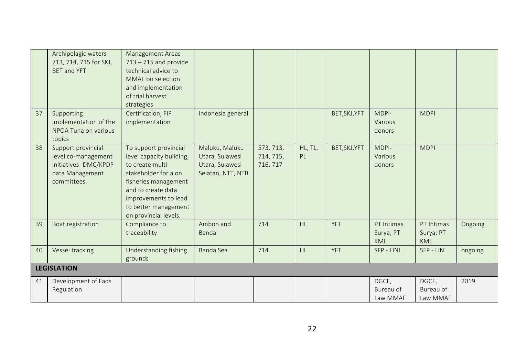|    | Archipelagic waters-<br>713, 714, 715 for SKJ,<br>BET and YFT                                        | <b>Management Areas</b><br>$713 - 715$ and provide<br>technical advice to<br>MMAF on selection<br>and implementation<br>of trial harvest<br>strategies                                                              |                                                                           |                                    |               |               |                                |                                       |         |
|----|------------------------------------------------------------------------------------------------------|---------------------------------------------------------------------------------------------------------------------------------------------------------------------------------------------------------------------|---------------------------------------------------------------------------|------------------------------------|---------------|---------------|--------------------------------|---------------------------------------|---------|
| 37 | Supporting<br>implementation of the<br>NPOA Tuna on various<br>topics                                | Certification, FIP<br>implementation                                                                                                                                                                                | Indonesia general                                                         |                                    |               | BET, SKJ, YFT | MDPI-<br>Various<br>donors     | <b>MDPI</b>                           |         |
| 38 | Support provincial<br>level co-management<br>initiatives-DMC/KPDP-<br>data Management<br>committees. | To support provincial<br>level capacity building,<br>to create multi<br>stakeholder for a on<br>fisheries management<br>and to create data<br>improvements to lead<br>to better management<br>on provincial levels. | Maluku, Maluku<br>Utara, Sulawesi<br>Utara, Sulawesi<br>Selatan, NTT, NTB | 573, 713,<br>714, 715,<br>716, 717 | HL, TL,<br>PL | BET, SKJ, YFT | MDPI-<br>Various<br>donors     | <b>MDPI</b>                           |         |
| 39 | Boat registration                                                                                    | Compliance to<br>traceability                                                                                                                                                                                       | Ambon and<br>Banda                                                        | 714                                | <b>HL</b>     | YFT           | PT Intimas<br>Surya; PT<br>KML | PT Intimas<br>Surya; PT<br><b>KML</b> | Ongoing |
| 40 | Vessel tracking                                                                                      | Understanding fishing<br>grounds                                                                                                                                                                                    | Banda Sea                                                                 | 714                                | <b>HL</b>     | <b>YFT</b>    | SFP - LINI                     | SFP - LINI                            | ongoing |
|    | <b>LEGISLATION</b>                                                                                   |                                                                                                                                                                                                                     |                                                                           |                                    |               |               |                                |                                       |         |
| 41 | Development of Fads<br>Regulation                                                                    |                                                                                                                                                                                                                     |                                                                           |                                    |               |               | DGCF,<br>Bureau of<br>Law MMAF | DGCF.<br>Bureau of<br>Law MMAF        | 2019    |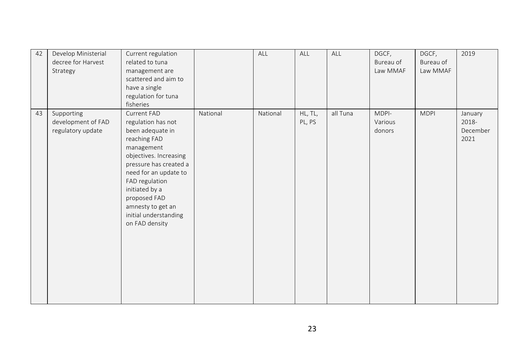| 42 | Develop Ministerial<br>decree for Harvest<br>Strategy | Current regulation<br>related to tuna<br>management are<br>scattered and aim to<br>have a single<br>regulation for tuna<br>fisheries                                                                                                                                                 |          | ALL      | <b>ALL</b>        | <b>ALL</b> | DGCF,<br>Bureau of<br>Law MMAF | DGCF,<br>Bureau of<br>Law MMAF | 2019                                 |
|----|-------------------------------------------------------|--------------------------------------------------------------------------------------------------------------------------------------------------------------------------------------------------------------------------------------------------------------------------------------|----------|----------|-------------------|------------|--------------------------------|--------------------------------|--------------------------------------|
| 43 | Supporting<br>development of FAD<br>regulatory update | Current FAD<br>regulation has not<br>been adequate in<br>reaching FAD<br>management<br>objectives. Increasing<br>pressure has created a<br>need for an update to<br>FAD regulation<br>initiated by a<br>proposed FAD<br>amnesty to get an<br>initial understanding<br>on FAD density | National | National | HL, TL,<br>PL, PS | all Tuna   | MDPI-<br>Various<br>donors     | <b>MDPI</b>                    | January<br>2018-<br>December<br>2021 |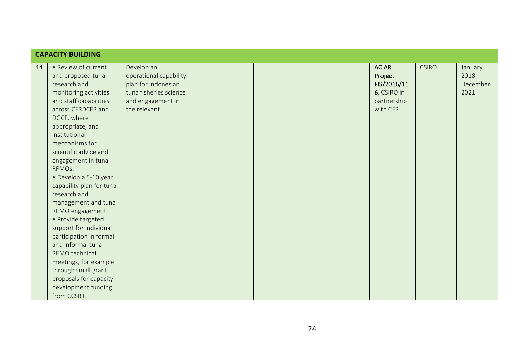|    | <b>CAPACITY BUILDING</b>                                                                                                                                                                                                                                                        |                                                                                       |  |  |  |  |                                                       |              |                                      |
|----|---------------------------------------------------------------------------------------------------------------------------------------------------------------------------------------------------------------------------------------------------------------------------------|---------------------------------------------------------------------------------------|--|--|--|--|-------------------------------------------------------|--------------|--------------------------------------|
| 44 | • Review of current<br>and proposed tuna<br>research and<br>monitoring activities                                                                                                                                                                                               | Develop an<br>operational capability<br>plan for Indonesian<br>tuna fisheries science |  |  |  |  | <b>ACIAR</b><br>Project<br>FIS/2016/11<br>6, CSIRO in | <b>CSIRO</b> | January<br>2018-<br>December<br>2021 |
|    | and staff capabilities<br>across CFRDCFR and<br>DGCF, where<br>appropriate, and<br>institutional<br>mechanisms for<br>scientific advice and<br>engagement in tuna<br>RFMOs;<br>• Develop a 5-10 year                                                                            | and engagement in<br>the relevant                                                     |  |  |  |  | partnership<br>with CFR                               |              |                                      |
|    | capability plan for tuna<br>research and<br>management and tuna<br>RFMO engagement.<br>• Provide targeted<br>support for individual<br>participation in formal<br>and informal tuna<br>RFMO technical<br>meetings, for example<br>through small grant<br>proposals for capacity |                                                                                       |  |  |  |  |                                                       |              |                                      |
|    | development funding<br>from CCSBT.                                                                                                                                                                                                                                              |                                                                                       |  |  |  |  |                                                       |              |                                      |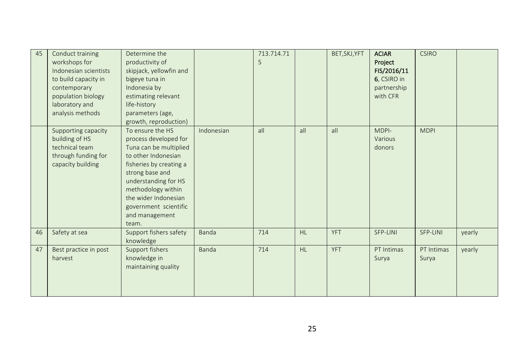| 45 | Conduct training<br>workshops for<br>Indonesian scientists<br>to build capacity in<br>contemporary<br>population biology<br>laboratory and<br>analysis methods | Determine the<br>productivity of<br>skipjack, yellowfin and<br>bigeve tuna in<br>Indonesia by<br>estimating relevant<br>life-history<br>parameters (age,<br>growth, reproduction)                                                                                  |            | 713.714.71<br>5 |     | BET, SKJ, YFT | <b>ACIAR</b><br>Project<br>FIS/2016/11<br>6, CSIRO in<br>partnership<br>with CFR | <b>CSIRO</b>        |        |
|----|----------------------------------------------------------------------------------------------------------------------------------------------------------------|--------------------------------------------------------------------------------------------------------------------------------------------------------------------------------------------------------------------------------------------------------------------|------------|-----------------|-----|---------------|----------------------------------------------------------------------------------|---------------------|--------|
|    | Supporting capacity<br>building of HS<br>technical team<br>through funding for<br>capacity building                                                            | To ensure the HS<br>process developed for<br>Tuna can be multiplied<br>to other Indonesian<br>fisheries by creating a<br>strong base and<br>understanding for HS<br>methodology within<br>the wider Indonesian<br>government scientific<br>and management<br>team. | Indonesian | all             | all | all           | MDPI-<br>Various<br>donors                                                       | <b>MDPI</b>         |        |
| 46 | Safety at sea                                                                                                                                                  | Support fishers safety<br>knowledge                                                                                                                                                                                                                                | Banda      | 714             | HL. | <b>YFT</b>    | SFP-LINI                                                                         | SFP-LINI            | yearly |
| 47 | Best practice in post<br>harvest                                                                                                                               | Support fishers<br>knowledge in<br>maintaining quality                                                                                                                                                                                                             | Banda      | 714             | HL. | <b>YFT</b>    | PT Intimas<br>Surya                                                              | PT Intimas<br>Surya | yearly |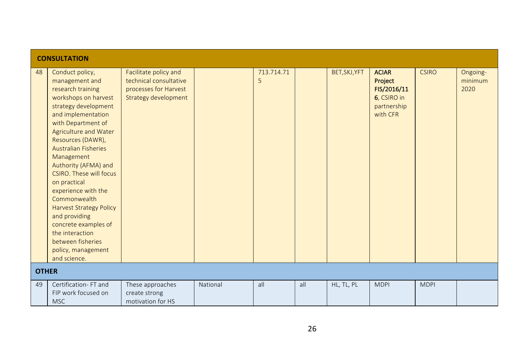| <b>CONSULTATION</b> |                                                                                                                                                                                                                                                                                                                                                                                                                                                                                                                         |                                                                                                  |          |                 |     |               |                                                                                  |              |                             |  |
|---------------------|-------------------------------------------------------------------------------------------------------------------------------------------------------------------------------------------------------------------------------------------------------------------------------------------------------------------------------------------------------------------------------------------------------------------------------------------------------------------------------------------------------------------------|--------------------------------------------------------------------------------------------------|----------|-----------------|-----|---------------|----------------------------------------------------------------------------------|--------------|-----------------------------|--|
| 48                  | Conduct policy,<br>management and<br>research training<br>workshops on harvest<br>strategy development<br>and implementation<br>with Department of<br>Agriculture and Water<br>Resources (DAWR),<br><b>Australian Fisheries</b><br>Management<br>Authority (AFMA) and<br><b>CSIRO.</b> These will focus<br>on practical<br>experience with the<br>Commonwealth<br><b>Harvest Strategy Policy</b><br>and providing<br>concrete examples of<br>the interaction<br>between fisheries<br>policy, management<br>and science. | Facilitate policy and<br>technical consultative<br>processes for Harvest<br>Strategy development |          | 713.714.71<br>5 |     | BET, SKJ, YFT | <b>ACIAR</b><br>Project<br>FIS/2016/11<br>6, CSIRO in<br>partnership<br>with CFR | <b>CSIRO</b> | Ongoing-<br>minimum<br>2020 |  |
|                     | <b>OTHER</b>                                                                                                                                                                                                                                                                                                                                                                                                                                                                                                            |                                                                                                  |          |                 |     |               |                                                                                  |              |                             |  |
| 49                  | Certification-FT and<br>FIP work focused on<br><b>MSC</b>                                                                                                                                                                                                                                                                                                                                                                                                                                                               | These approaches<br>create strong<br>motivation for HS                                           | National | all             | all | HL, TL, PL    | <b>MDPI</b>                                                                      | <b>MDPI</b>  |                             |  |